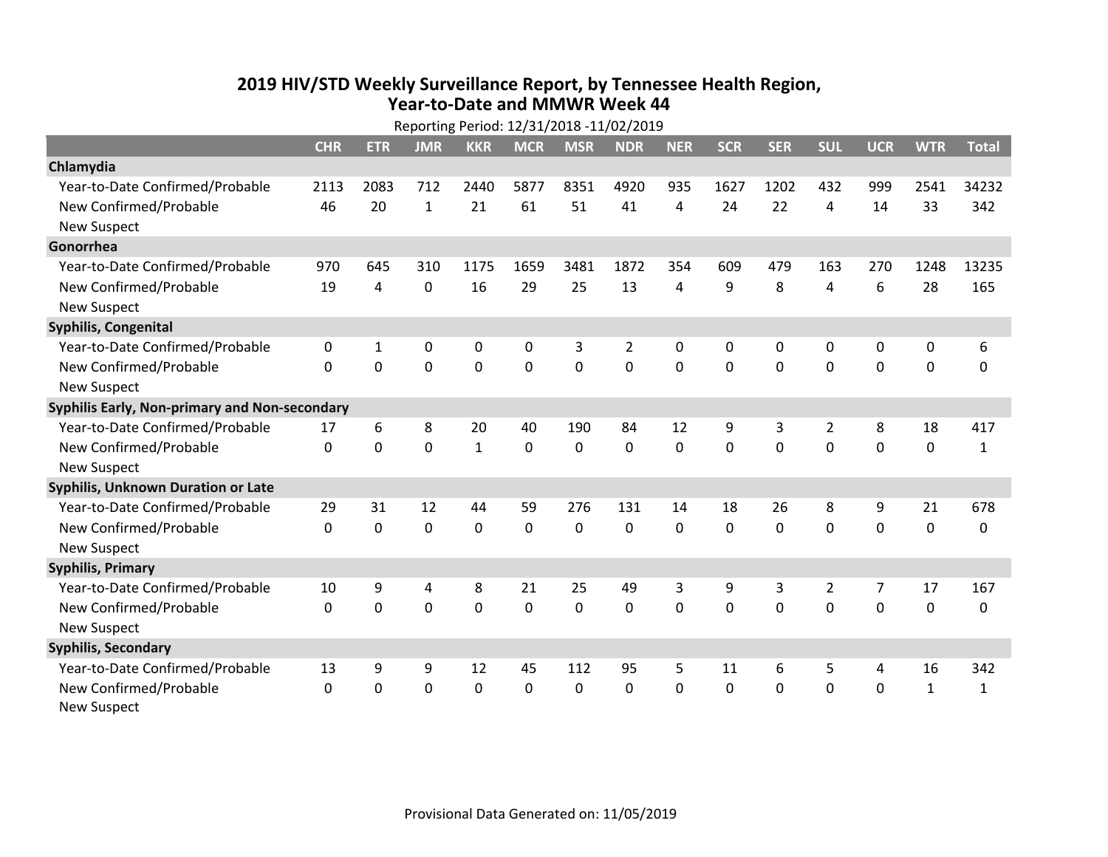## **2019 HIV /STD Weekly Surveillance Report, by Tennessee Health Region, Year‐to‐Date and MMWR Week 44** Reporting Period: 12/31/2018 ‐11/02/2019

| Reporting Period: 12/31/2018 -11/02/2019      |              |            |              |              |             |                |                |             |              |            |                |                |              |              |
|-----------------------------------------------|--------------|------------|--------------|--------------|-------------|----------------|----------------|-------------|--------------|------------|----------------|----------------|--------------|--------------|
|                                               | <b>CHR</b>   | <b>ETR</b> | <b>JMR</b>   | <b>KKR</b>   | <b>MCR</b>  | <b>MSR</b>     | <b>NDR</b>     | <b>NER</b>  | <b>SCR</b>   | <b>SER</b> | <b>SUL</b>     | <b>UCR</b>     | <b>WTR</b>   | <b>Total</b> |
| Chlamydia                                     |              |            |              |              |             |                |                |             |              |            |                |                |              |              |
| Year-to-Date Confirmed/Probable               | 2113         | 2083       | 712          | 2440         | 5877        | 8351           | 4920           | 935         | 1627         | 1202       | 432            | 999            | 2541         | 34232        |
| New Confirmed/Probable                        | 46           | 20         | $\mathbf{1}$ | 21           | 61          | 51             | 41             | 4           | 24           | 22         | 4              | 14             | 33           | 342          |
| <b>New Suspect</b>                            |              |            |              |              |             |                |                |             |              |            |                |                |              |              |
| Gonorrhea                                     |              |            |              |              |             |                |                |             |              |            |                |                |              |              |
| Year-to-Date Confirmed/Probable               | 970          | 645        | 310          | 1175         | 1659        | 3481           | 1872           | 354         | 609          | 479        | 163            | 270            | 1248         | 13235        |
| New Confirmed/Probable                        | 19           | 4          | 0            | 16           | 29          | 25             | 13             | 4           | 9            | 8          | 4              | 6              | 28           | 165          |
| <b>New Suspect</b>                            |              |            |              |              |             |                |                |             |              |            |                |                |              |              |
| <b>Syphilis, Congenital</b>                   |              |            |              |              |             |                |                |             |              |            |                |                |              |              |
| Year-to-Date Confirmed/Probable               | 0            | 1          | 0            | 0            | $\mathbf 0$ | 3              | $\overline{2}$ | 0           | 0            | 0          | 0              | 0              | 0            | 6            |
| New Confirmed/Probable                        | $\mathbf{0}$ | 0          | 0            | 0            | $\mathbf 0$ | $\overline{0}$ | 0              | $\mathbf 0$ | $\mathbf{0}$ | 0          | 0              | 0              | $\mathbf 0$  | $\Omega$     |
| <b>New Suspect</b>                            |              |            |              |              |             |                |                |             |              |            |                |                |              |              |
| Syphilis Early, Non-primary and Non-secondary |              |            |              |              |             |                |                |             |              |            |                |                |              |              |
| Year-to-Date Confirmed/Probable               | 17           | 6          | 8            | 20           | 40          | 190            | 84             | 12          | 9            | 3          | 2              | 8              | 18           | 417          |
| New Confirmed/Probable                        | $\Omega$     | 0          | $\Omega$     | $\mathbf{1}$ | $\mathbf 0$ | $\mathbf 0$    | $\Omega$       | $\Omega$    | $\Omega$     | $\Omega$   | $\Omega$       | $\Omega$       | $\mathbf 0$  | $\mathbf{1}$ |
| <b>New Suspect</b>                            |              |            |              |              |             |                |                |             |              |            |                |                |              |              |
| Syphilis, Unknown Duration or Late            |              |            |              |              |             |                |                |             |              |            |                |                |              |              |
| Year-to-Date Confirmed/Probable               | 29           | 31         | 12           | 44           | 59          | 276            | 131            | 14          | 18           | 26         | 8              | 9              | 21           | 678          |
| New Confirmed/Probable                        | $\Omega$     | $\Omega$   | 0            | 0            | $\mathbf 0$ | 0              | $\Omega$       | $\Omega$    | $\Omega$     | $\Omega$   | $\Omega$       | 0              | $\mathbf 0$  | 0            |
| <b>New Suspect</b>                            |              |            |              |              |             |                |                |             |              |            |                |                |              |              |
| <b>Syphilis, Primary</b>                      |              |            |              |              |             |                |                |             |              |            |                |                |              |              |
| Year-to-Date Confirmed/Probable               | 10           | 9          | 4            | 8            | 21          | 25             | 49             | 3           | 9            | 3          | $\overline{2}$ | $\overline{7}$ | 17           | 167          |
| New Confirmed/Probable                        | $\Omega$     | 0          | 0            | 0            | $\mathbf 0$ | 0              | 0              | $\Omega$    | $\Omega$     | $\Omega$   | $\Omega$       | $\Omega$       | $\mathbf 0$  | 0            |
| <b>New Suspect</b>                            |              |            |              |              |             |                |                |             |              |            |                |                |              |              |
| <b>Syphilis, Secondary</b>                    |              |            |              |              |             |                |                |             |              |            |                |                |              |              |
| Year-to-Date Confirmed/Probable               | 13           | 9          | 9            | 12           | 45          | 112            | 95             | 5           | 11           | 6          | 5              | 4              | 16           | 342          |
| New Confirmed/Probable                        | 0            | 0          | 0            | 0            | $\mathbf 0$ | 0              | 0              | $\Omega$    | $\mathbf{0}$ | 0          | 0              | 0              | $\mathbf{1}$ | $\mathbf{1}$ |
| <b>New Suspect</b>                            |              |            |              |              |             |                |                |             |              |            |                |                |              |              |